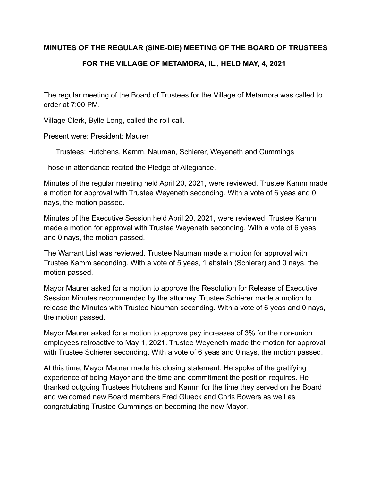## **MINUTES OF THE REGULAR (SINE-DIE) MEETING OF THE BOARD OF TRUSTEES FOR THE VILLAGE OF METAMORA, IL., HELD MAY, 4, 2021**

The regular meeting of the Board of Trustees for the Village of Metamora was called to order at 7:00 PM.

Village Clerk, Bylle Long, called the roll call.

Present were: President: Maurer

Trustees: Hutchens, Kamm, Nauman, Schierer, Weyeneth and Cummings

Those in attendance recited the Pledge of Allegiance.

Minutes of the regular meeting held April 20, 2021, were reviewed. Trustee Kamm made a motion for approval with Trustee Weyeneth seconding. With a vote of 6 yeas and 0 nays, the motion passed.

Minutes of the Executive Session held April 20, 2021, were reviewed. Trustee Kamm made a motion for approval with Trustee Weyeneth seconding. With a vote of 6 yeas and 0 nays, the motion passed.

The Warrant List was reviewed. Trustee Nauman made a motion for approval with Trustee Kamm seconding. With a vote of 5 yeas, 1 abstain (Schierer) and 0 nays, the motion passed.

Mayor Maurer asked for a motion to approve the Resolution for Release of Executive Session Minutes recommended by the attorney. Trustee Schierer made a motion to release the Minutes with Trustee Nauman seconding. With a vote of 6 yeas and 0 nays, the motion passed.

Mayor Maurer asked for a motion to approve pay increases of 3% for the non-union employees retroactive to May 1, 2021. Trustee Weyeneth made the motion for approval with Trustee Schierer seconding. With a vote of 6 yeas and 0 nays, the motion passed.

At this time, Mayor Maurer made his closing statement. He spoke of the gratifying experience of being Mayor and the time and commitment the position requires. He thanked outgoing Trustees Hutchens and Kamm for the time they served on the Board and welcomed new Board members Fred Glueck and Chris Bowers as well as congratulating Trustee Cummings on becoming the new Mayor.